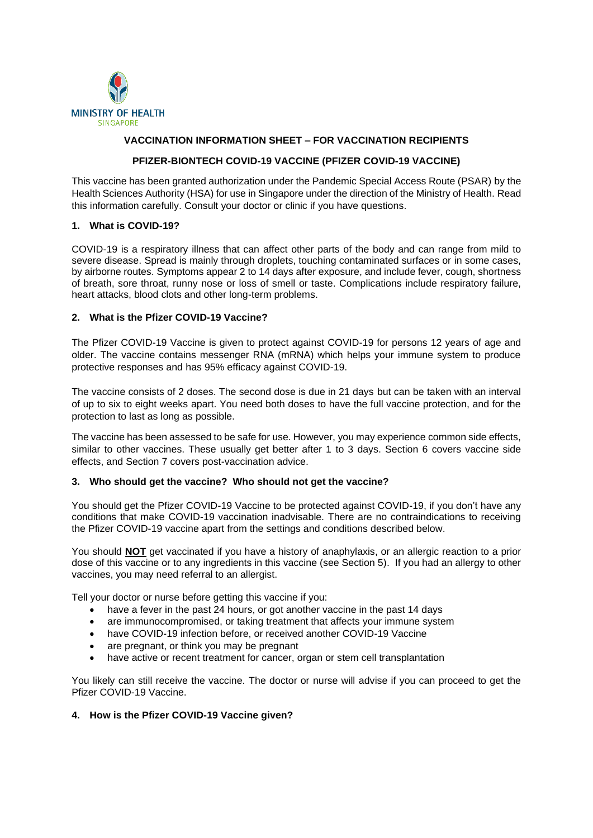

# **VACCINATION INFORMATION SHEET – FOR VACCINATION RECIPIENTS**

# **PFIZER-BIONTECH COVID-19 VACCINE (PFIZER COVID-19 VACCINE)**

This vaccine has been granted authorization under the Pandemic Special Access Route (PSAR) by the Health Sciences Authority (HSA) for use in Singapore under the direction of the Ministry of Health. Read this information carefully. Consult your doctor or clinic if you have questions.

### **1. What is COVID-19?**

COVID-19 is a respiratory illness that can affect other parts of the body and can range from mild to severe disease. Spread is mainly through droplets, touching contaminated surfaces or in some cases. by airborne routes. Symptoms appear 2 to 14 days after exposure, and include fever, cough, shortness of breath, sore throat, runny nose or loss of smell or taste. Complications include respiratory failure, heart attacks, blood clots and other long-term problems.

### **2. What is the Pfizer COVID-19 Vaccine?**

The Pfizer COVID-19 Vaccine is given to protect against COVID-19 for persons 12 years of age and older. The vaccine contains messenger RNA (mRNA) which helps your immune system to produce protective responses and has 95% efficacy against COVID-19.

The vaccine consists of 2 doses. The second dose is due in 21 days but can be taken with an interval of up to six to eight weeks apart. You need both doses to have the full vaccine protection, and for the protection to last as long as possible.

The vaccine has been assessed to be safe for use. However, you may experience common side effects, similar to other vaccines. These usually get better after 1 to 3 days. Section 6 covers vaccine side effects, and Section 7 covers post-vaccination advice.

# **3. Who should get the vaccine? Who should not get the vaccine?**

You should get the Pfizer COVID-19 Vaccine to be protected against COVID-19, if you don't have any conditions that make COVID-19 vaccination inadvisable. There are no contraindications to receiving the Pfizer COVID-19 vaccine apart from the settings and conditions described below.

You should **NOT** get vaccinated if you have a history of anaphylaxis, or an allergic reaction to a prior dose of this vaccine or to any ingredients in this vaccine (see Section 5). If you had an allergy to other vaccines, you may need referral to an allergist.

Tell your doctor or nurse before getting this vaccine if you:

- have a fever in the past 24 hours, or got another vaccine in the past 14 days
- are immunocompromised, or taking treatment that affects your immune system
- have COVID-19 infection before, or received another COVID-19 Vaccine
- are pregnant, or think you may be pregnant
- have active or recent treatment for cancer, organ or stem cell transplantation

You likely can still receive the vaccine. The doctor or nurse will advise if you can proceed to get the Pfizer COVID-19 Vaccine.

#### **4. How is the Pfizer COVID-19 Vaccine given?**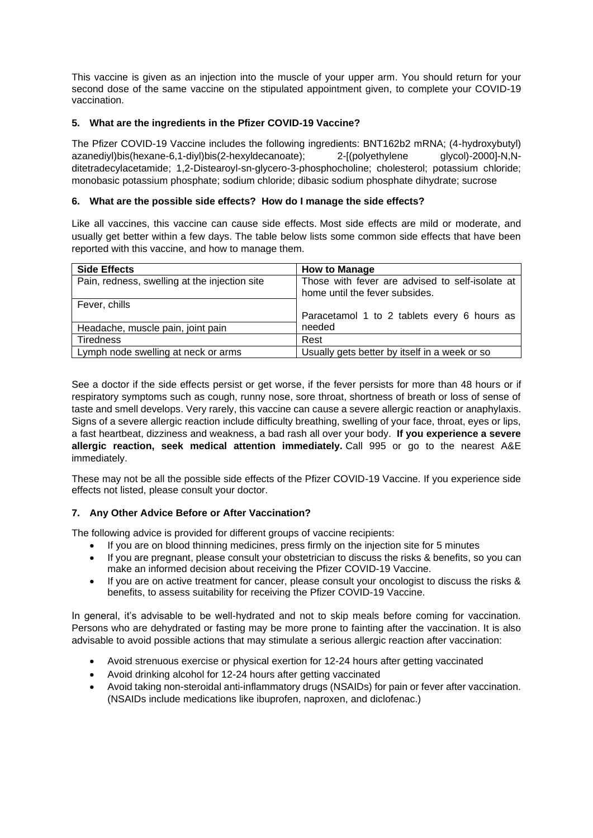This vaccine is given as an injection into the muscle of your upper arm. You should return for your second dose of the same vaccine on the stipulated appointment given, to complete your COVID-19 vaccination.

# **5. What are the ingredients in the Pfizer COVID-19 Vaccine?**

The Pfizer COVID-19 Vaccine includes the following ingredients: BNT162b2 mRNA; (4-hydroxybutyl) azanediyl)bis(hexane-6,1-diyl)bis(2-hexyldecanoate); 2-[(polyethylene glycol)-2000]-N,Nditetradecylacetamide; 1,2-Distearoyl-sn-glycero-3-phosphocholine; cholesterol; potassium chloride; monobasic potassium phosphate; sodium chloride; dibasic sodium phosphate dihydrate; sucrose

# **6. What are the possible side effects? How do I manage the side effects?**

Like all vaccines, this vaccine can cause side effects. Most side effects are mild or moderate, and usually get better within a few days. The table below lists some common side effects that have been reported with this vaccine, and how to manage them.

| <b>Side Effects</b>                           | <b>How to Manage</b>                            |
|-----------------------------------------------|-------------------------------------------------|
| Pain, redness, swelling at the injection site | Those with fever are advised to self-isolate at |
|                                               | home until the fever subsides.                  |
| Fever, chills                                 |                                                 |
|                                               | Paracetamol 1 to 2 tablets every 6 hours as     |
| Headache, muscle pain, joint pain             | needed                                          |
| <b>Tiredness</b>                              | Rest                                            |
| Lymph node swelling at neck or arms           | Usually gets better by itself in a week or so   |

See a doctor if the side effects persist or get worse, if the fever persists for more than 48 hours or if respiratory symptoms such as cough, runny nose, sore throat, shortness of breath or loss of sense of taste and smell develops. Very rarely, this vaccine can cause a severe allergic reaction or anaphylaxis. Signs of a severe allergic reaction include difficulty breathing, swelling of your face, throat, eyes or lips, a fast heartbeat, dizziness and weakness, a bad rash all over your body. **If you experience a severe allergic reaction, seek medical attention immediately.** Call 995 or go to the nearest A&E immediately.

These may not be all the possible side effects of the Pfizer COVID-19 Vaccine. If you experience side effects not listed, please consult your doctor.

# **7. Any Other Advice Before or After Vaccination?**

The following advice is provided for different groups of vaccine recipients:

- If you are on blood thinning medicines, press firmly on the injection site for 5 minutes
- If you are pregnant, please consult your obstetrician to discuss the risks & benefits, so you can make an informed decision about receiving the Pfizer COVID-19 Vaccine.
- If you are on active treatment for cancer, please consult your oncologist to discuss the risks & benefits, to assess suitability for receiving the Pfizer COVID-19 Vaccine.

In general, it's advisable to be well-hydrated and not to skip meals before coming for vaccination. Persons who are dehydrated or fasting may be more prone to fainting after the vaccination. It is also advisable to avoid possible actions that may stimulate a serious allergic reaction after vaccination:

- Avoid strenuous exercise or physical exertion for 12-24 hours after getting vaccinated
- Avoid drinking alcohol for 12-24 hours after getting vaccinated
- Avoid taking non-steroidal anti-inflammatory drugs (NSAIDs) for pain or fever after vaccination. (NSAIDs include medications like ibuprofen, naproxen, and diclofenac.)